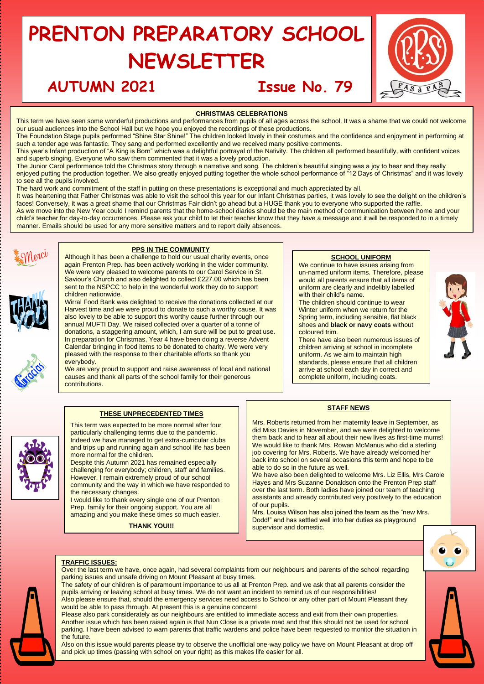# **PRENTON PREPARATORY SCHOOL NEWSLETTER**

# **AUTUMN 2021 Issue No. 79**



# **CHRISTMAS CELEBRATIONS**

This term we have seen some wonderful productions and performances from pupils of all ages across the school. It was a shame that we could not welcome our usual audiences into the School Hall but we hope you enjoyed the recordings of these productions.

The Foundation Stage pupils performed "Shine Star Shine!" The children looked lovely in their costumes and the confidence and enjoyment in performing at such a tender age was fantastic. They sang and performed excellently and we received many positive comments.

This year's Infant production of "A King is Born" which was a delightful portrayal of the Nativity. The children all performed beautifully, with confident voices and superb singing. Everyone who saw them commented that it was a lovely production.

The Junior Carol performance told the Christmas story through a narrative and song. The children's beautiful singing was a joy to hear and they really enjoyed putting the production together. We also greatly enjoyed putting together the whole school performance of "12 Days of Christmas" and it was lovely to see all the pupils involved.

The hard work and commitment of the staff in putting on these presentations is exceptional and much appreciated by all.

It was heartening that Father Christmas was able to visit the school this year for our Infant Christmas parties, it was lovely to see the delight on the children's faces! Conversely, it was a great shame that our Christmas Fair didn't go ahead but a HUGE thank you to everyone who supported the raffle.

As we move into the New Year could I remind parents that the home-school diaries should be the main method of communication between home and your child's teacher for day-to-day occurrences. Please ask your child to let their teacher know that they have a message and it will be responded to in a timely manner. Emails should be used for any more sensitive matters and to report daily absences.



# **PPS IN THE COMMUNITY**

Although it has been a challenge to hold our usual charity events, once again Prenton Prep. has been actively working in the wider community. We were very pleased to welcome parents to our Carol Service in St. Saviour's Church and also delighted to collect £227.00 which has been sent to the NSPCC to help in the wonderful work they do to support children nationwide.

Wirral Food Bank was delighted to receive the donations collected at our Harvest time and we were proud to donate to such a worthy cause. It was also lovely to be able to support this worthy cause further through our annual MUFTI Day. We raised collected over a quarter of a tonne of donations, a staggering amount, which, I am sure will be put to great use. In preparation for Christmas, Year 4 have been doing a reverse Advent Calendar bringing in food items to be donated to charity. We were very pleased with the response to their charitable efforts so thank you everybody.

We are very proud to support and raise awareness of local and national causes and thank all parts of the school family for their generous contributions.

**THESE UNPRECEDENTED TIMES** This term was expected to be more normal after four particularly challenging terms due to the pandemic. Indeed we have managed to get extra-curricular clubs and trips up and running again and school life has been

Despite this Autumn 2021 has remained especially challenging for everybody; children, staff and families. However, I remain extremely proud of our school community and the way in which we have responded to

I would like to thank every single one of our Prenton Prep. family for their ongoing support. You are all amazing and you make these times so much easier. **THANK YOU!!!**

## **SCHOOL UNIFORM**

We continue to have issues arising from un-named uniform items. Therefore, please would all parents ensure that all items of uniform are clearly and indelibly labelled with their child's name.

The children should continue to wear Winter uniform when we return for the Spring term, including sensible, flat black shoes and **black or navy coats** without coloured trim.

There have also been numerous issues of children arriving at school in incomplete uniform. As we aim to maintain high standards, please ensure that all children arrive at school each day in correct and complete uniform, including coats.



### **STAFF NEWS**

Mrs. Roberts returned from her maternity leave in September, as did Miss Davies in November, and we were delighted to welcome them back and to hear all about their new lives as first-time mums! We would like to thank Mrs. Rowan McManus who did a sterling job covering for Mrs. Roberts. We have already welcomed her back into school on several occasions this term and hope to be able to do so in the future as well.

We have also been delighted to welcome Mrs. Liz Ellis, Mrs Carole Hayes and Mrs Suzanne Donaldson onto the Prenton Prep staff over the last term. Both ladies have joined our team of teaching assistants and already contributed very positively to the education of our pupils.

Mrs. Louisa Wilson has also joined the team as the "new Mrs. Dodd!" and has settled well into her duties as playground supervisor and domestic.



# **TRAFFIC ISSUES:**

more normal for the children.

the necessary changes.

Over the last term we have, once again, had several complaints from our neighbours and parents of the school regarding parking issues and unsafe driving on Mount Pleasant at busy times.

The safety of our children is of paramount importance to us all at Prenton Prep. and we ask that all parents consider the pupils arriving or leaving school at busy times. We do not want an incident to remind us of our responsibilities! Also please ensure that, should the emergency services need access to School or any other part of Mount Pleasant they would be able to pass through. At present this is a genuine concern!

Please also park considerately as our neighbours are entitled to immediate access and exit from their own properties. Another issue which has been raised again is that Nun Close is a private road and that this should not be used for school parking. I have been advised to warn parents that traffic wardens and police have been requested to monitor the situation in the future.

Also on this issue would parents please try to observe the unofficial one-way policy we have on Mount Pleasant at drop off and pick up times (passing with school on your right) as this makes life easier for all.





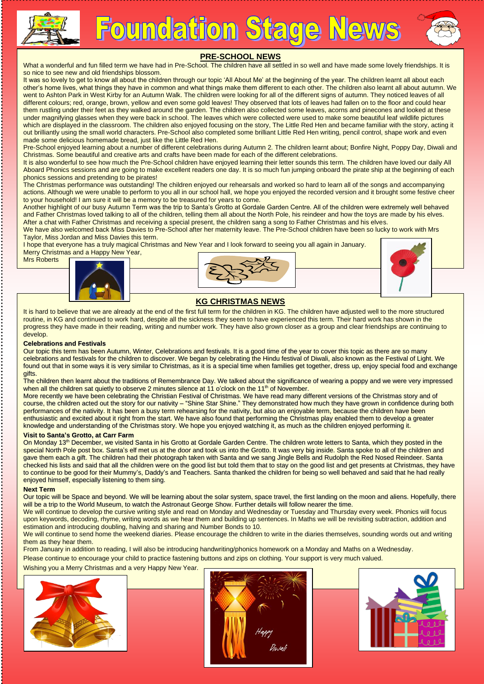

**Foundation Stage News** 



# **PRE-SCHOOL NEWS**

What a wonderful and fun filled term we have had in Pre-School. The children have all settled in so well and have made some lovely friendships. It is so nice to see new and old friendships blossom.

It was so lovely to get to know all about the children through our topic 'All About Me' at the beginning of the year. The children learnt all about each other's home lives, what things they have in common and what things make them different to each other. The children also learnt all about autumn. We went to Ashton Park in West Kirby for an Autumn Walk. The children were looking for all of the different signs of autumn. They noticed leaves of all different colours; red, orange, brown, yellow and even some gold leaves! They observed that lots of leaves had fallen on to the floor and could hear them rustling under their feet as they walked around the garden. The children also collected some leaves, acorns and pinecones and looked at these under magnifying glasses when they were back in school. The leaves which were collected were used to make some beautiful leaf wildlife pictures which are displayed in the classroom. The children also enjoyed focusing on the story, The Little Red Hen and became familiar with the story, acting it out brilliantly using the small world characters. Pre-School also completed some brilliant Little Red Hen writing, pencil control, shape work and even made some delicious homemade bread, just like the Little Red Hen.

Pre-School enjoyed learning about a number of different celebrations during Autumn 2. The children learnt about; Bonfire Night, Poppy Day, Diwali and Christmas. Some beautiful and creative arts and crafts have been made for each of the different celebrations.

It is also wonderful to see how much the Pre-School children have enjoyed learning their letter sounds this term. The children have loved our daily All Aboard Phonics sessions and are going to make excellent readers one day. It is so much fun jumping onboard the pirate ship at the beginning of each phonics sessions and pretending to be pirates!

The Christmas performance was outstanding! The children enjoyed our rehearsals and worked so hard to learn all of the songs and accompanying actions. Although we were unable to perform to you all in our school hall, we hope you enjoyed the recorded version and it brought some festive cheer to your household! I am sure it will be a memory to be treasured for years to come.

Another highlight of our busy Autumn Term was the trip to Santa's Grotto at Gordale Garden Centre. All of the children were extremely well behaved and Father Christmas loved talking to all of the children, telling them all about the North Pole, his reindeer and how the toys are made by his elves. After a chat with Father Christmas and receiving a special present, the children sang a song to Father Christmas and his elves.

We have also welcomed back Miss Davies to Pre-School after her maternity leave. The Pre-School children have been so lucky to work with Mrs Taylor, Miss Jordan and Miss Davies this term.

I hope that everyone has a truly magical Christmas and New Year and I look forward to seeing you all again in January. Merry Christmas and a Happy New Year,

Mrs Roberts







# **KG CHRISTMAS NEWS**

It is hard to believe that we are already at the end of the first full term for the children in KG. The children have adjusted well to the more structured routine, in KG and continued to work hard, despite all the sickness they seem to have experienced this term. Their hard work has shown in the progress they have made in their reading, writing and number work. They have also grown closer as a group and clear friendships are continuing to develop.

### **Celebrations and Festivals**

Our topic this term has been Autumn, Winter, Celebrations and festivals. It is a good time of the year to cover this topic as there are so many celebrations and festivals for the children to discover. We began by celebrating the Hindu festival of Diwali, also known as the Festival of Light. We found out that in some ways it is very similar to Christmas, as it is a special time when families get together, dress up, enjoy special food and exchange gifts.

The children then learnt about the traditions of Remembrance Day. We talked about the significance of wearing a poppy and we were very impressed when all the children sat quietly to observe 2 minutes silence at 11 o'clock on the 11<sup>th</sup> of November.

More recently we have been celebrating the Christian Festival of Christmas. We have read many different versions of the Christmas story and of course, the children acted out the story for our nativity – "Shine Star Shine." They demonstrated how much they have grown in confidence during both performances of the nativity. It has been a busy term rehearsing for the nativity, but also an enjoyable term, because the children have been enthusiastic and excited about it right from the start. We have also found that performing the Christmas play enabled them to develop a greater knowledge and understanding of the Christmas story. We hope you enjoyed watching it, as much as the children enjoyed performing it.

### **Visit to Santa's Grotto, at Carr Farm**

On Monday 13<sup>th</sup> December, we visited Santa in his Grotto at Gordale Garden Centre. The children wrote letters to Santa, which they posted in the special North Pole post box. Santa's elf met us at the door and took us into the Grotto. It was very big inside. Santa spoke to all of the children and gave them each a gift. The children had their photograph taken with Santa and we sang Jingle Bells and Rudolph the Red Nosed Reindeer. Santa checked his lists and said that all the children were on the good list but told them that to stay on the good list and get presents at Christmas, they have to continue to be good for their Mummy's, Daddy's and Teachers. Santa thanked the children for being so well behaved and said that he had really enjoyed himself, especially listening to them sing.

### **Next Term**

Our topic will be Space and beyond. We will be learning about the solar system, space travel, the first landing on the moon and aliens. Hopefully, there will be a trip to the World Museum, to watch the Astronaut George Show. Further details will follow nearer the time.

We will continue to develop the cursive writing style and read on Monday and Wednesday or Tuesday and Thursday every week. Phonics will focus upon keywords, decoding, rhyme, writing words as we hear them and building up sentences. In Maths we will be revisiting subtraction, addition and estimation and introducing doubling, halving and sharing and Number Bonds to 10.

We will continue to send home the weekend diaries. Please encourage the children to write in the diaries themselves, sounding words out and writing them as they hear them.

From January in addition to reading, I will also be introducing handwriting/phonics homework on a Monday and Maths on a Wednesday.

Please continue to encourage your child to practice fastening buttons and zips on clothing. Your support is very much valued.

Wishing you a Merry Christmas and a very Happy New Year.





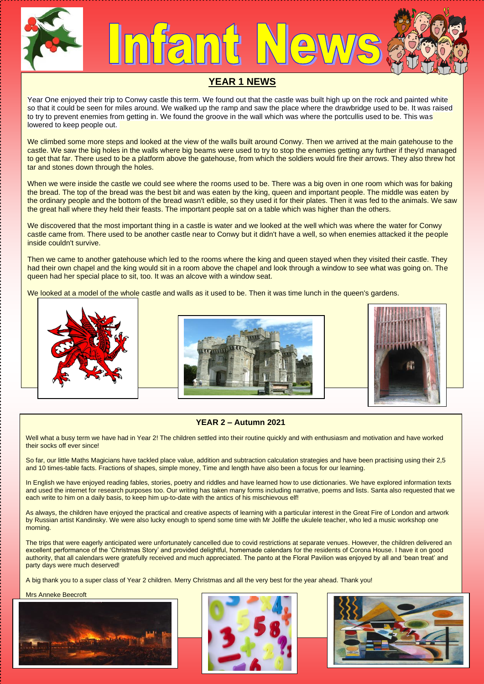

# **YEAR 1 NEWS**

Year One enjoyed their trip to Conwy castle this term. We found out that the castle was built high up on the rock and painted white so that it could be seen for miles around. We walked up the ramp and saw the place where the drawbridge used to be. It was raised to try to prevent enemies from getting in. We found the groove in the wall which was where the portcullis used to be. This was lowered to keep people out.

We climbed some more steps and looked at the view of the walls built around Conwy. Then we arrived at the main gatehouse to the castle. We saw the big holes in the walls where big beams were used to try to stop the enemies getting any further if they'd managed to get that far. There used to be a platform above the gatehouse, from which the soldiers would fire their arrows. They also threw hot tar and stones down through the holes.

When we were inside the castle we could see where the rooms used to be. There was a big oven in one room which was for baking the bread. The top of the bread was the best bit and was eaten by the king, queen and important people. The middle was eaten by the ordinary people and the bottom of the bread wasn't edible, so they used it for their plates. Then it was fed to the animals. We saw the great hall where they held their feasts. The important people sat on a table which was higher than the others.

We discovered that the most important thing in a castle is water and we looked at the well which was where the water for Conwy castle came from. There used to be another castle near to Conwy but it didn't have a well, so when enemies attacked it the people inside couldn't survive.

Then we came to another gatehouse which led to the rooms where the king and queen stayed when they visited their castle. They had their own chapel and the king would sit in a room above the chapel and look through a window to see what was going on. The queen had her special place to sit, too. It was an alcove with a window seat.

We looked at a model of the whole castle and walls as it used to be. Then it was time lunch in the queen's gardens.







# **YEAR 2 – Autumn 2021**

Well what a busy term we have had in Year 2! The children settled into their routine quickly and with enthusiasm and motivation and have worked their socks off ever since!

So far, our little Maths Magicians have tackled place value, addition and subtraction calculation strategies and have been practising using their 2,5 and 10 times-table facts. Fractions of shapes, simple money, Time and length have also been a focus for our learning.

In English we have enjoyed reading fables, stories, poetry and riddles and have learned how to use dictionaries. We have explored information texts and used the internet for research purposes too. Our writing has taken many forms including narrative, poems and lists. Santa also requested that we each write to him on a daily basis, to keep him up-to-date with the antics of his mischievous elf!

As always, the children have enjoyed the practical and creative aspects of learning with a particular interest in the Great Fire of London and artwork by Russian artist Kandinsky. We were also lucky enough to spend some time with Mr Joliffe the ukulele teacher, who led a music workshop one morning.

The trips that were eagerly anticipated were unfortunately cancelled due to covid restrictions at separate venues. However, the children delivered an excellent performance of the 'Christmas Story' and provided delightful, homemade calendars for the residents of Corona House. I have it on good authority, that all calendars were gratefully received and much appreciated. The panto at the Floral Pavilion was enjoyed by all and 'bean treat' and party days were much deserved!

A big thank you to a super class of Year 2 children. Merry Christmas and all the very best for the year ahead. Thank you!

### Mrs Anneke Beecroft





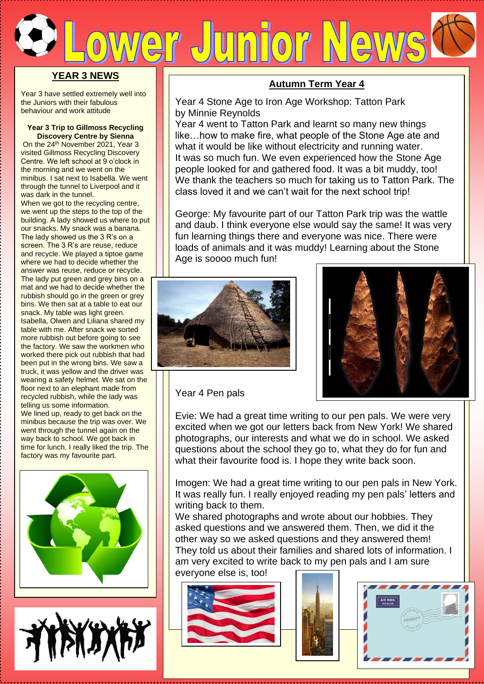# er Junior New **YEAR 3 NEWS**

Year 3 have settled extremely well into the Juniors with their fabulous behaviour and work attitude

# **Year 3 Trip to Gillmoss Recycling Discovery Centre by Sienna**

On the 24<sup>th</sup> November 2021, Year 3 visited Gillmoss Recycling Discovery Centre. We left school at 9 o'clock in the morning and we went on the minibus. I sat next to Isabella. We went through the tunnel to Liverpool and it was dark in the tunnel.

When we got to the recycling centre, we went up the steps to the top of the building. A lady showed us where to put our snacks. My snack was a banana. The lady showed us the 3 R's on a screen. The 3 R's are reuse, reduce and recycle. We played a tiptoe game where we had to decide whether the answer was reuse, reduce or recycle. The lady put green and grey bins on a mat and we had to decide whether the rubbish should go in the green or grey bins. We then sat at a table to eat our snack. My table was light green. Isabella, Olwen and Liliana shared my table with me. After snack we sorted more rubbish out before going to see the factory. We saw the workmen who worked there pick out rubbish that had been put in the wrong bins. We saw a truck, it was yellow and the driver was wearing a safety helmet. We sat on the floor next to an elephant made from recycled rubbish, while the lady was telling us some information. We lined up, ready to get back on the minibus because the trip was over. We went through the tunnel again on the way back to school. We got back in time for lunch. I really liked the trip. The





# **Autumn Term Year 4**

Year 4 Stone Age to Iron Age Workshop: Tatton Park by Minnie Reynolds

Year 4 went to Tatton Park and learnt so many new things like…how to make fire, what people of the Stone Age ate and what it would be like without electricity and running water. It was so much fun. We even experienced how the Stone Age people looked for and gathered food. It was a bit muddy, too! We thank the teachers so much for taking us to Tatton Park. The class loved it and we can't wait for the next school trip!

George: My favourite part of our Tatton Park trip was the wattle and daub. I think everyone else would say the same! It was very fun learning things there and everyone was nice. There were loads of animals and it was muddy! Learning about the Stone Age is soooo much fun!





Year 4 Pen pals

Evie: We had a great time writing to our pen pals. We were very excited when we got our letters back from New York! We shared photographs, our interests and what we do in school. We asked questions about the school they go to, what they do for fun and what their favourite food is. I hope they write back soon.

Imogen: We had a great time writing to our pen pals in New York. It was really fun. I really enjoyed reading my pen pals' letters and writing back to them.

We shared photographs and wrote about our hobbies. They asked questions and we answered them. Then, we did it the other way so we asked questions and they answered them! They told us about their families and shared lots of information. I am very excited to write back to my pen pals and I am sure everyone else is, too!